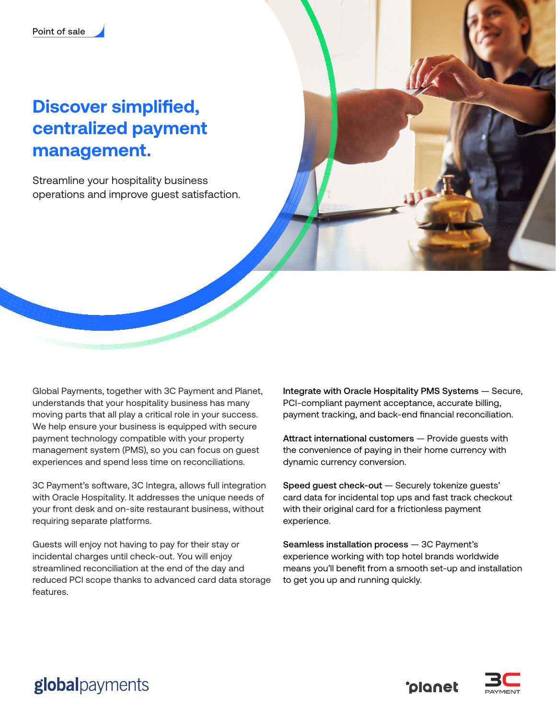# **Discover simplified, centralized payment management.**

Streamline your hospitality business operations and improve guest satisfaction.



3C Payment's software, 3C Integra, allows full integration with Oracle Hospitality. It addresses the unique needs of your front desk and on-site restaurant business, without requiring separate platforms.

Guests will enjoy not having to pay for their stay or incidental charges until check-out. You will enjoy streamlined reconciliation at the end of the day and reduced PCI scope thanks to advanced card data storage features.

Integrate with Oracle Hospitality PMS Systems — Secure, PCI-compliant payment acceptance, accurate billing, payment tracking, and back-end financial reconciliation.

Attract international customers — Provide guests with the convenience of paying in their home currency with dynamic currency conversion.

Speed guest check-out — Securely tokenize guests' card data for incidental top ups and fast track checkout with their original card for a frictionless payment experience.

Seamless installation process — 3C Payment's experience working with top hotel brands worldwide means you'll benefit from a smooth set-up and installation to get you up and running quickly.

**Colonet** 



## globalpayments